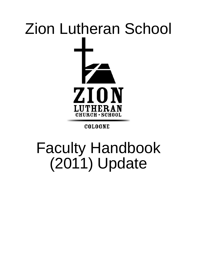# Zion Lutheran School ZION **LUTHERAN CHURCH · SCHOOL**

### **COLOGNE**

## Faculty Handbook (2011) Update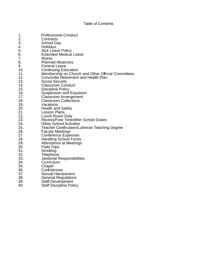#### Table of Contents

| 1.  | <b>Professional Conduct</b>                        |
|-----|----------------------------------------------------|
| 2.  | Contracts                                          |
| 3.  | <b>School Day</b>                                  |
| 4.  | Holidays                                           |
| 5.  | <b>Sick Leave Policy</b>                           |
| 6.  | <b>Extended Medical Leave</b>                      |
| 7.  | <b>Illness</b>                                     |
| 8.  | <b>Planned Absences</b>                            |
| 9.  | <b>Funeral Leave</b>                               |
| 10. |                                                    |
| 11. | <b>Continuing Education</b>                        |
| 12. | Membership on Church and Other Official Committees |
|     | Concordia Retirement and Health Plan               |
| 13. | <b>Social Security</b>                             |
| 14. | <b>Classroom Conduct</b>                           |
| 15. | <b>Discipline Policy</b>                           |
| 16. | <b>Suspension and Expulsion</b>                    |
| 17. | <b>Classroom Arrangement</b>                       |
| 18. | <b>Classroom Collections</b>                       |
| 19. | Vacations                                          |
| 20. | <b>Health and Safety</b>                           |
| 21. | <b>Lesson Plans</b>                                |
| 22. | Lunch Room Duty                                    |
| 23. | <b>Recess/Free Time/After School Duties</b>        |
| 24. | <b>Other School Activities</b>                     |
| 25. | Teacher Certification/Lutheran Teaching Degree     |
| 26. | <b>Faculty Meetings</b>                            |
| 27. | <b>Conference Expenses</b>                         |
| 28. | <b>Handling School Funds</b>                       |
| 29. | Attendance at Meetings                             |
| 30. | <b>Field Trips</b>                                 |
| 31. | Smoking                                            |
| 32. | Telephone                                          |
| 33. | <b>Janitorial Responsibilities</b>                 |
| 34. | Curriculum                                         |
| 35. | Chapel                                             |
| 36. | Confidences                                        |
| 37. | <b>Sexual Harassment</b>                           |
| 38. | <b>General Regulations</b>                         |
| 39. | <b>Staff Development</b>                           |
| 40. | <b>Staff Discipline Policy</b>                     |
|     |                                                    |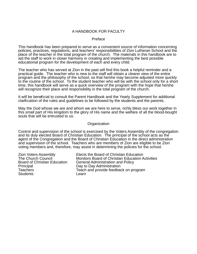#### A HANDBOOK FOR FACULTY

#### Preface

This handbook has been prepared to serve as a convenient source of information concerning policies, practices, regulations, and teachers' responsibilities of Zion Lutheran School and the place of the teacher in the total program of the church. The materials in this handbook are to aid the staff to work in closer harmony in creating and implementing the best possible educational program for the development of each and every child.

The teacher who has served at Zion in the past will find this book a helpful reminder and a practical guide. The teacher who is new to the staff will obtain a clearer view of the entire program and the philosophy of the school, so that he/she may become adjusted more quickly to the routine of the school. To the student teacher who will be with the school only for a short time, this handbook will serve as a quick overview of the program with the hope that he/she will recognize their place and responsibility in the total program of the church.

It will be beneficial to consult the Parent Handbook and the Yearly Supplement for additional clarification of the rules and guidelines to be followed by the students and the parents.

May the God whose we are and whom we are here to serve, richly bless our work together in this small part of His kingdom to the glory of His name and the welfare of all the blood-bought souls that will be entrusted to us.

#### **Organization**

Control and supervision of the school is exercised by the Voters Assembly of the congregation and its duly elected Board of Christian Education. The principal of the school acts as the agent of the Congregation and the Board of Christian Education in the direct administration and supervision of the school. Teachers who are members of Zion are eligible to be Zion voting members and, therefore, may assist in determining the policies for the school.

Principal Day to Day Administration Students Learn

Zion Voters Assembly Elects the Board of Christian Education<br>The Church Council Monitors Board of Christian Education A The Church Council Monitors Board of Christian Education Activities<br>Board of Christian Education General Administration and Policy Board of Christian Education General Administration and Policy<br>Principal Christian Education Day to Day Administration Teach and provide feedback on program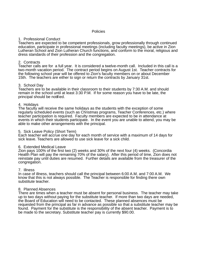#### Policies

#### 1. Professional Conduct

Teachers are expected to be competent professionals, grow professionally through continued education, participate in professional meetings (including faculty meetings), be active in Zion Lutheran School and Zion Lutheran Church functions, and conform to the moral, religious and dress standards of their profession and the congregation.

#### 2. Contracts

Teacher calls are for a full year. It is considered a twelve-month call. Included in this call is a two-month vacation period. The contract period begins on August 1st. Teacher contracts for the following school year will be offered to Zion's faculty members on or about December 15th. The teachers are either to sign or return the contracts by January 31st.

#### 3. School Day

Teachers are to be available in their classroom to their students by 7:30 A.M. and should remain in the school until at least 3:30 P.M. If for some reason you have to be late, the principal should be notified.

#### 4. Holidays

The faculty will receive the same holidays as the students with the exception of some regularly scheduled events (such as Christmas programs, Teacher Conferences, etc.) where teacher participation is required. Faculty members are expected to be in attendance at events in which their students participate. In the event you are unable to attend, you may be able to make other arrangements with the principal.

#### 5. Sick Leave Policy (Short Term)

Each teacher will accrue one day for each month of service with a maximum of 14 days for sick leave. Teachers are allowed to use sick leave for a sick child.

#### 6. Extended Medical Leave

Zion pays 100% of the first two (2) weeks and 30% of the next four (4) weeks. (Concordia Health Plan will pay the remaining 70% of the salary). After this period of time, Zion does not reinstate pay until duties are resumed. Further details are available from the treasurer of the congregation.

#### 7. Illness

In case of illness, teachers should call the principal between 6:00 A.M. and 7:00 A.M. We know that this is not always possible. The Teacher is responsible for finding there own substitute teacher.

#### 8. Planned Absences

There are times when a teacher must be absent for personal business. The teacher may take up to two days without paying for the substitute teacher. If more than two days are needed, the Board of Education will need to be contacted. These planned absences must be requested from the principal as far in advance as possible so that a substitute teacher may be found. Payment for the substitute is the responsibility of the absent teacher. Payment is to be made to the secretary. Substitute teacher pay is currently \$90.00.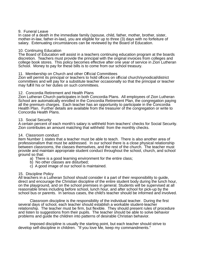#### 9. Funeral Leave

In case of a death in the immediate family (spouse, child, father, mother, brother, sister, mother-in-law, father-in-law), you are eligible for up to three (3) days with no forfeiture of salary. Extenuating circumstances can be reviewed by the Board of Education.

#### 10. Continuing Education

The Board of Education will assist in a teachers continuing education program at the boards discretion. Teachers must provide the principal with the original invoices from colleges and college book stores. This policy becomes effective after one year of service in Zion Lutheran School. Money to pay for these bills is to come from our school treasury.

#### 11. Membership on Church and other Official Committees

Zion will permit its principal or teachers to hold offices on official church/synodical/district committees and will pay for a substitute teacher occasionally so that the principal or teacher may fulfill his or her duties on such committees.

#### 12. Concordia Retirement and Health Plans

Zion Lutheran Church participates in both Concordia Plans. All employees of Zion Lutheran School are automatically enrolled in the Concordia Retirement Plan, the congregation paying all the premium charges. Each teacher has an opportunity to participate in the Concordia Health Plan. Further details are available from the treasurer of the congregation or write to Concordia Health Plans.

#### 13. Social Security

A certain percent of each month's salary is withheld from teachers' checks for Social Security. Zion contributes an amount matching that withheld from the monthly checks.

#### 14. Classroom conduct

Item Number 1 states that a teacher must be able to teach. There is also another area of professionalism that must be addressed. In our school there is a close physical relationship between classrooms, the classes themselves, and the rest of the church. The teacher must provide and maintain appropriate student conduct throughout the school, church, and school ground so that:

- a) There is a good learning environment for the entire class;
- b) No other classes are disturbed;
- c) A good image of our school is maintained.

#### 15. Discipline Policy

All teachers in a Lutheran School should consider it a part of their responsibility to guide, direct and encourage the Christian discipline of the entire student body during the lunch hour, on the playground, and on the school premises in general. Students will be supervised at all reasonable times including before school, lunch hour, and after school for pick-up by the school bus or parents. In serious cases, the child's teacher should be informed and involved.

Classroom discipline is the responsibility of the individual teacher. During the first several days of school, each teacher should establish a workable student-teacher relationship. The teacher must be firm, but flexible. They should present rules of procedure and listen to suggestions from their pupils. The teacher should be able to solve behavior problems and guide the children into patterns of desirable Christian behavior.

Imposed discipline is usually the starting point, but each teacher should strive to develop self-discipline in children. "If you love Me, keep my commandments."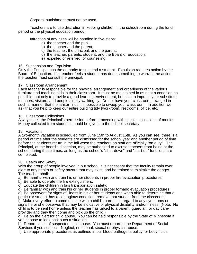Corporal punishment must not be used.

Teachers are to use discretion in keeping children in the schoolroom during the lunch period or the physical education period.

Infraction of any rules will be handled in five steps:

- a) the teacher and the pupil;
- b) the teacher and the parent;
- c) the teacher, the principal, and the parent;
- d) the teacher, parents, student, and the Board of Education;
- e) expelled or referred for counseling.

#### 16. Suspension and Expulsion

Only the Principal has the authority to suspend a student. Expulsion requires action by the Board of Education. If a teacher feels a student has done something to warrant the action, the teacher must consult the principal.

#### 17. Classroom Arrangement

Each teacher is responsible for the physical arrangement and orderliness of the various furniture and teaching aids in their classroom. It must be maintained in as neat a condition as possible, not only to provide a good learning environment, but also to impress your substitute teachers, visitors, and people simply walking by. Do not have your classroom arranged in such a manner that the janitor finds it impossible to sweep your classroom. In addition we ask that you help to keep our entire building tidy (workroom, restrooms, office, etc.)

#### 18. Classroom Collections

Always seek the Principal's permission before proceeding with special collections of monies. Money collected from students should be given, to the school secretary.

#### 19. Vacations

A two-month vacation is scheduled from June 15th to August 15th. As you can see, there is a period of time after the students are dismissed for the school year and another period of time before the students return in the fall when the teachers on staff are officially "on duty". The Principal, at the board's discretion, may be authorized to excuse teachers from being at the school during these times, as long as the school's "shut-down" and "start-up" functions are completed.

#### 20. Health and Safety

With the group of people involved in our school, it is necessary that the faculty remain ever alert to any health or safety hazard that may exist, and be trained to minimize the danger. The teacher shall:

- a) Be familiar with and train his or her students in proper fire evacuation procedures;
- b) Be able to operate the fire extinguishers;
- c) Educate the children in bus transportation safety;
- d) Be familiar with and train his or her students in proper tornado evacuation procedures;

e) Be observant for signs of illness in his or her students and when able to determine that a particular student has a contagious condition, remove that student from the classroom;

f) Make every effort to communicate with a child's parents in regard to any symptoms or signs he or she observes that may be indicative of physical disability and/or illness; (Note: No child is to be sent home unless the teacher has talked to a parent, guardian, or day careprovider and they then come and pick up the child.)

g) Be on the alert for child abuse. You can be held responsible by the State of Minnesota if you choose to look past such a situation.

h) Report cases of suspected child abuse. You must report to the Department of Social Services if you suspect: Neglect, emotional, sexual or physical abuse.

I) Use appropriate procedures as outlined in our blood pathogens policy for body fluids.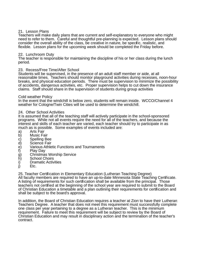#### 21. Lesson Plans

Teachers will make daily plans that are current and self-explanatory to everyone who might need to refer to them. Careful and thoughtful pre-planning is expected. Lesson plans should consider the overall ability of the class, be creative in nature, be specific, realistic, and flexible. Lesson plans for the upcoming week should be completed the Friday before.

#### 22. Lunchroom Duty

The teacher is responsible for maintaining the discipline of his or her class during the lunch period.

#### 23. Recess/Free Time/After School

Students will be supervised, in the presence of an adult staff member or aide, at all reasonable times. Teachers should monitor playground activities during recesses, noon-hour breaks, and physical education periods. There must be supervision to minimize the possibility of accidents, dangerous activities, etc. Proper supervision helps to cut down the insurance claims. Staff should share in the supervision of students during group activities

#### Cold weather Policy

In the event that the windchill is below zero, students will remain inside. WCCO/Channel 4 weather for Cologne/Twin Cities will be used to determine the windchill.

#### 24. Other School Activities

It is assumed that all of the teaching staff will actively participate in the school-sponsored programs. While not all events require the need for all of the teachers, and because the interest and skills of each teacher are varied, each teacher should try to participate in as much as is possible. Some examples of events included are:

- a) Arts Fair
- b) Music Fair<br>c) Spelling Be
- c) Spelling Bee<br>d) Science Fair
- d) Science Fair
- e) Various Athletic Functions and Tournaments<br>f) Play Day
- 
- f) Play Day<br>g) Christmas<br>h) School Cl g) Christmas Worship Service
- 
- h) School Choirs<br>i) Dramatic Activ<br>i) Etc. Dramatic Activities
- Etc.

25. Teacher Certification in Elementary Education (Lutheran Teaching Degree) All faculty members are required to have an up-to-date Minnesota State Teaching Certificate. A listing of requirements for such certification shall be available from the principal. Those teachers not certified at the beginning of the school year are required to submit to the Board of Christian Education a timetable and a plan outlining their requirements for certification and shall be subject to the board's approval.

In addition, the Board of Christian Education requires a teacher at Zion to have their Lutheran Teachers Degree. A teacher that does not meet this requirement must successfully complete one class per year pertaining to a degree as a Lutheran teacher. This is the minimum requirement. Failure to meet this requirement will be subject to review by the Board of Christian Education and may result in disciplinary action and the termination of the teacher's contract.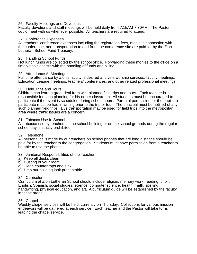#### 26. Faculty Meetings and Devotions

Faculty devotions and staff meetings will be held daily from 7:15AM-7:30AM. The Pastor could meet with us whenever possible. All teachers are required to attend.

#### 27. Conference Expenses

All teachers' conference expenses including the registration fees, meals in connection with the conference, and transportation to and from the conference site are paid for by the Zion Lutheran School Fund Treasury.

#### 28. Handling School Funds

Hot lunch funds are collected by the school office. Forwarding these monies to the office on a timely basis assists with the handling of funds and billing.

#### 29. Attendance At Meetings

Full time attendance by Zion's faculty is desired at divine worship services, faculty meetings, Education League meetings, teachers' conferences, and other related professional meetings.

#### 30. Field Trips and Tours

Children can learn a great deal from well-planned field trips and tours. Each teacher is responsible for such planning for his or her classroom. All students must be encouraged to participate if the event is scheduled during school hours. Parental permission for the pupils to participate must be had in writing prior to the trip or tour. The principal must be notified of any such planned field trips. Bus transportation may be used for field trips into the metropolitan area where traffic issues are a concern.

#### 31. Tobacco Use In School

All tobacco use by teachers in the school building or on the school grounds during the regular school day is strictly prohibited.

#### 32. Telephone

All personal calls made by our teachers on school phones that are long distance should be paid for by the teacher to the congregation. Students must have permission from a teacher to be able to use the phone.

#### 33. Janitorial Responsibilities of the Teacher

- a) Keep all desks clean
- b) Dusting of your room
- c) Clean counter tops and sink
- d) Help our building look presentable

#### 34. Curriculum

Curriculum at Zion Lutheran School should include religion, memory work, reading, choir, English, Spanish, social studies, science, computer science, health, math, spelling, handwriting, physical education, and art. A curriculum guide will be established by the faculty in these areas.

#### 35. Chapel

Weekly chapel services will be held, currently on Thursday. Collections for various mission endeavors will be gathered at each service. Each teacher and the Pastor will take turns leading the chapel service.